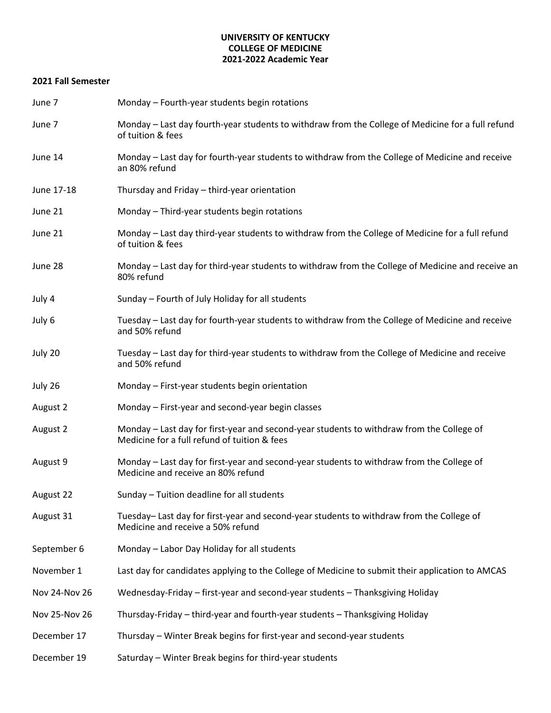## **UNIVERSITY OF KENTUCKY COLLEGE OF MEDICINE 2021-2022 Academic Year**

## **2021 Fall Semester**

| June 7        | Monday - Fourth-year students begin rotations                                                                                             |  |  |
|---------------|-------------------------------------------------------------------------------------------------------------------------------------------|--|--|
| June 7        | Monday - Last day fourth-year students to withdraw from the College of Medicine for a full refund<br>of tuition & fees                    |  |  |
| June 14       | Monday - Last day for fourth-year students to withdraw from the College of Medicine and receive<br>an 80% refund                          |  |  |
| June 17-18    | Thursday and Friday - third-year orientation                                                                                              |  |  |
| June 21       | Monday - Third-year students begin rotations                                                                                              |  |  |
| June 21       | Monday - Last day third-year students to withdraw from the College of Medicine for a full refund<br>of tuition & fees                     |  |  |
| June 28       | Monday - Last day for third-year students to withdraw from the College of Medicine and receive an<br>80% refund                           |  |  |
| July 4        | Sunday - Fourth of July Holiday for all students                                                                                          |  |  |
| July 6        | Tuesday - Last day for fourth-year students to withdraw from the College of Medicine and receive<br>and 50% refund                        |  |  |
| July 20       | Tuesday - Last day for third-year students to withdraw from the College of Medicine and receive<br>and 50% refund                         |  |  |
| July 26       | Monday - First-year students begin orientation                                                                                            |  |  |
| August 2      | Monday - First-year and second-year begin classes                                                                                         |  |  |
| August 2      | Monday - Last day for first-year and second-year students to withdraw from the College of<br>Medicine for a full refund of tuition & fees |  |  |
| August 9      | Monday - Last day for first-year and second-year students to withdraw from the College of<br>Medicine and receive an 80% refund           |  |  |
| August 22     | Sunday - Tuition deadline for all students                                                                                                |  |  |
| August 31     | Tuesday- Last day for first-year and second-year students to withdraw from the College of<br>Medicine and receive a 50% refund            |  |  |
| September 6   | Monday - Labor Day Holiday for all students                                                                                               |  |  |
| November 1    | Last day for candidates applying to the College of Medicine to submit their application to AMCAS                                          |  |  |
| Nov 24-Nov 26 | Wednesday-Friday - first-year and second-year students - Thanksgiving Holiday                                                             |  |  |
| Nov 25-Nov 26 | Thursday-Friday – third-year and fourth-year students – Thanksgiving Holiday                                                              |  |  |
| December 17   | Thursday – Winter Break begins for first-year and second-year students                                                                    |  |  |
| December 19   | Saturday - Winter Break begins for third-year students                                                                                    |  |  |